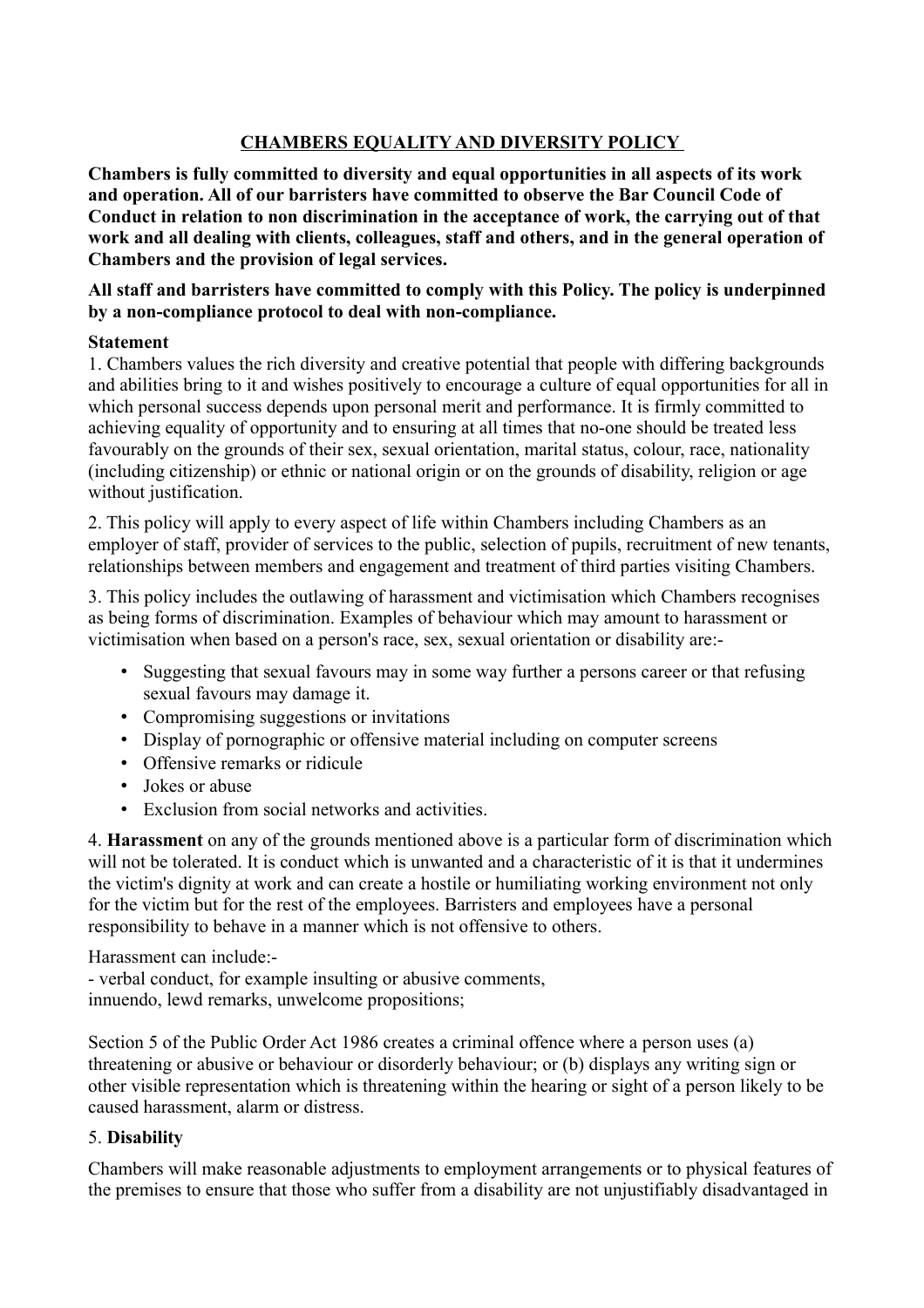# **CHAMBERS EQUALITY AND DIVERSITY POLICY**

**Chambers is fully committed to diversity and equal opportunities in all aspects of its work and operation. All of our barristers have committed to observe the Bar Council Code of Conduct in relation to non discrimination in the acceptance of work, the carrying out of that work and all dealing with clients, colleagues, staff and others, and in the general operation of Chambers and the provision of legal services.**

#### **All staff and barristers have committed to comply with this Policy. The policy is underpinned by a non-compliance protocol to deal with non-compliance.**

#### **Statement**

1. Chambers values the rich diversity and creative potential that people with differing backgrounds and abilities bring to it and wishes positively to encourage a culture of equal opportunities for all in which personal success depends upon personal merit and performance. It is firmly committed to achieving equality of opportunity and to ensuring at all times that no-one should be treated less favourably on the grounds of their sex, sexual orientation, marital status, colour, race, nationality (including citizenship) or ethnic or national origin or on the grounds of disability, religion or age without justification.

2. This policy will apply to every aspect of life within Chambers including Chambers as an employer of staff, provider of services to the public, selection of pupils, recruitment of new tenants, relationships between members and engagement and treatment of third parties visiting Chambers.

3. This policy includes the outlawing of harassment and victimisation which Chambers recognises as being forms of discrimination. Examples of behaviour which may amount to harassment or victimisation when based on a person's race, sex, sexual orientation or disability are:-

- Suggesting that sexual favours may in some way further a persons career or that refusing sexual favours may damage it.
- Compromising suggestions or invitations
- Display of pornographic or offensive material including on computer screens
- Offensive remarks or ridicule
- Jokes or abuse
- Exclusion from social networks and activities.

4. **Harassment** on any of the grounds mentioned above is a particular form of discrimination which will not be tolerated. It is conduct which is unwanted and a characteristic of it is that it undermines the victim's dignity at work and can create a hostile or humiliating working environment not only for the victim but for the rest of the employees. Barristers and employees have a personal responsibility to behave in a manner which is not offensive to others.

Harassment can include:-

- verbal conduct, for example insulting or abusive comments, innuendo, lewd remarks, unwelcome propositions;

Section 5 of the Public Order Act 1986 creates a criminal offence where a person uses (a) threatening or abusive or behaviour or disorderly behaviour; or (b) displays any writing sign or other visible representation which is threatening within the hearing or sight of a person likely to be caused harassment, alarm or distress.

#### 5. **Disability**

Chambers will make reasonable adjustments to employment arrangements or to physical features of the premises to ensure that those who suffer from a disability are not unjustifiably disadvantaged in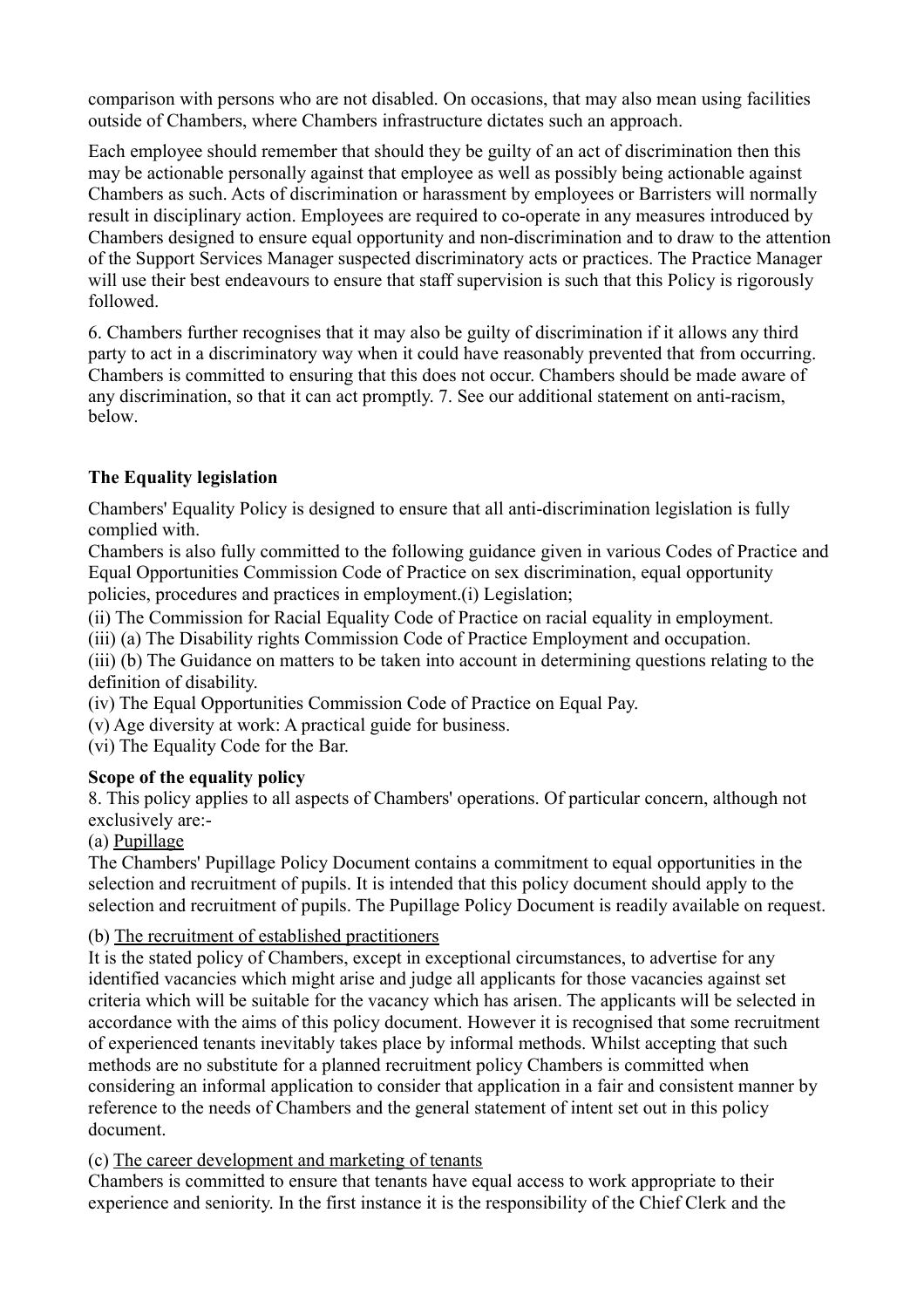comparison with persons who are not disabled. On occasions, that may also mean using facilities outside of Chambers, where Chambers infrastructure dictates such an approach.

Each employee should remember that should they be guilty of an act of discrimination then this may be actionable personally against that employee as well as possibly being actionable against Chambers as such. Acts of discrimination or harassment by employees or Barristers will normally result in disciplinary action. Employees are required to co-operate in any measures introduced by Chambers designed to ensure equal opportunity and non-discrimination and to draw to the attention of the Support Services Manager suspected discriminatory acts or practices. The Practice Manager will use their best endeavours to ensure that staff supervision is such that this Policy is rigorously followed.

6. Chambers further recognises that it may also be guilty of discrimination if it allows any third party to act in a discriminatory way when it could have reasonably prevented that from occurring. Chambers is committed to ensuring that this does not occur. Chambers should be made aware of any discrimination, so that it can act promptly. 7. See our additional statement on anti-racism, below.

## **The Equality legislation**

Chambers' Equality Policy is designed to ensure that all anti-discrimination legislation is fully complied with.

Chambers is also fully committed to the following guidance given in various Codes of Practice and Equal Opportunities Commission Code of Practice on sex discrimination, equal opportunity policies, procedures and practices in employment.(i) Legislation;

(ii) The Commission for Racial Equality Code of Practice on racial equality in employment.

(iii) (a) The Disability rights Commission Code of Practice Employment and occupation.

(iii) (b) The Guidance on matters to be taken into account in determining questions relating to the definition of disability.

(iv) The Equal Opportunities Commission Code of Practice on Equal Pay.

(v) Age diversity at work: A practical guide for business.

(vi) The Equality Code for the Bar.

## **Scope of the equality policy**

8. This policy applies to all aspects of Chambers' operations. Of particular concern, although not exclusively are:-

## (a) Pupillage

The Chambers' Pupillage Policy Document contains a commitment to equal opportunities in the selection and recruitment of pupils. It is intended that this policy document should apply to the selection and recruitment of pupils. The Pupillage Policy Document is readily available on request.

## (b) The recruitment of established practitioners

It is the stated policy of Chambers, except in exceptional circumstances, to advertise for any identified vacancies which might arise and judge all applicants for those vacancies against set criteria which will be suitable for the vacancy which has arisen. The applicants will be selected in accordance with the aims of this policy document. However it is recognised that some recruitment of experienced tenants inevitably takes place by informal methods. Whilst accepting that such methods are no substitute for a planned recruitment policy Chambers is committed when considering an informal application to consider that application in a fair and consistent manner by reference to the needs of Chambers and the general statement of intent set out in this policy document.

## (c) The career development and marketing of tenants

Chambers is committed to ensure that tenants have equal access to work appropriate to their experience and seniority. In the first instance it is the responsibility of the Chief Clerk and the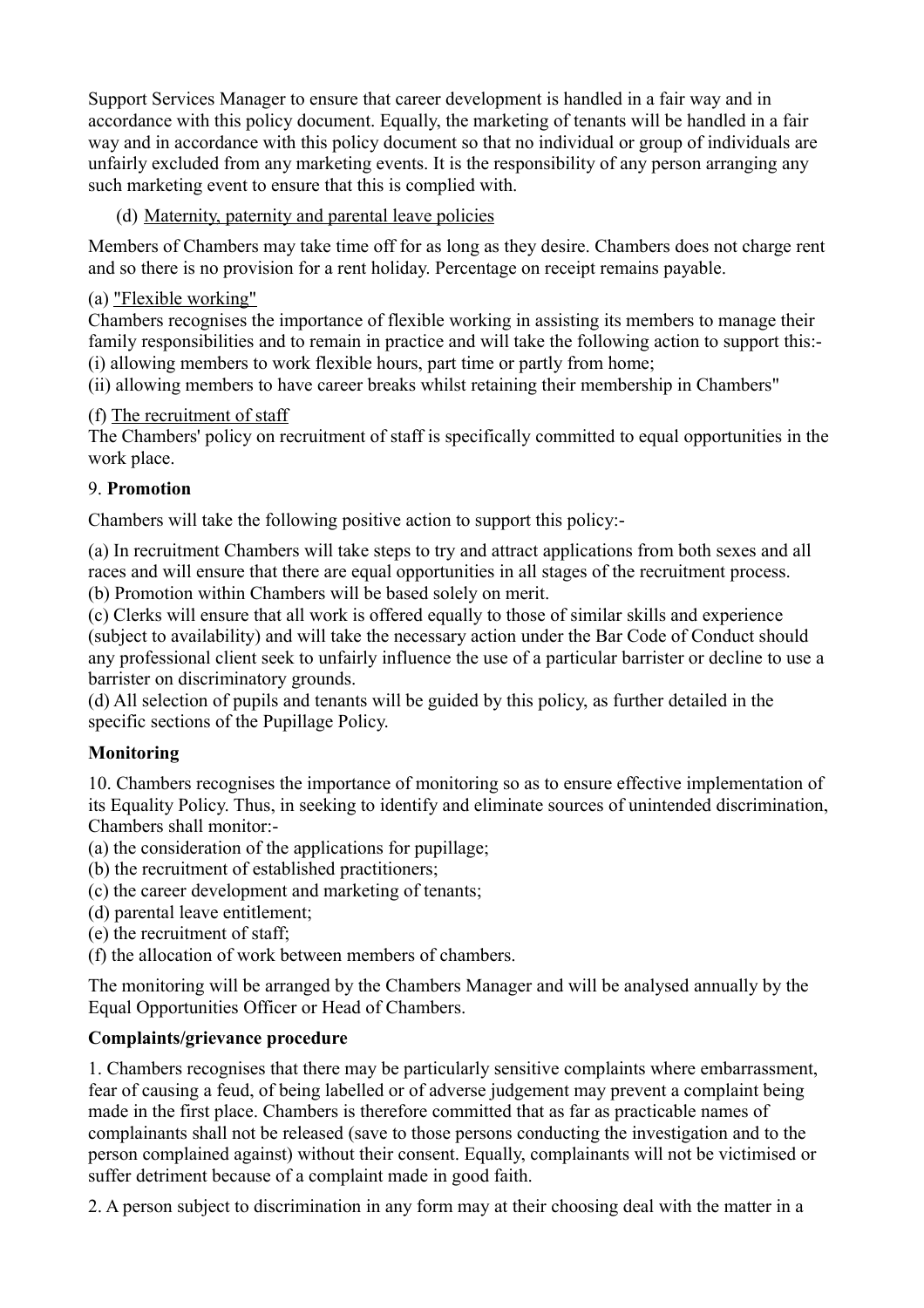Support Services Manager to ensure that career development is handled in a fair way and in accordance with this policy document. Equally, the marketing of tenants will be handled in a fair way and in accordance with this policy document so that no individual or group of individuals are unfairly excluded from any marketing events. It is the responsibility of any person arranging any such marketing event to ensure that this is complied with.

## (d) Maternity, paternity and parental leave policies

Members of Chambers may take time off for as long as they desire. Chambers does not charge rent and so there is no provision for a rent holiday. Percentage on receipt remains payable.

## (a) "Flexible working"

Chambers recognises the importance of flexible working in assisting its members to manage their family responsibilities and to remain in practice and will take the following action to support this:- (i) allowing members to work flexible hours, part time or partly from home;

(ii) allowing members to have career breaks whilst retaining their membership in Chambers"

# (f) The recruitment of staff

The Chambers' policy on recruitment of staff is specifically committed to equal opportunities in the work place.

# 9. **Promotion**

Chambers will take the following positive action to support this policy:-

(a) In recruitment Chambers will take steps to try and attract applications from both sexes and all races and will ensure that there are equal opportunities in all stages of the recruitment process. (b) Promotion within Chambers will be based solely on merit.

(c) Clerks will ensure that all work is offered equally to those of similar skills and experience (subject to availability) and will take the necessary action under the Bar Code of Conduct should any professional client seek to unfairly influence the use of a particular barrister or decline to use a barrister on discriminatory grounds.

(d) All selection of pupils and tenants will be guided by this policy, as further detailed in the specific sections of the Pupillage Policy.

# **Monitoring**

10. Chambers recognises the importance of monitoring so as to ensure effective implementation of its Equality Policy. Thus, in seeking to identify and eliminate sources of unintended discrimination, Chambers shall monitor:-

(a) the consideration of the applications for pupillage;

- (b) the recruitment of established practitioners;
- (c) the career development and marketing of tenants;
- (d) parental leave entitlement;
- (e) the recruitment of staff;
- (f) the allocation of work between members of chambers.

The monitoring will be arranged by the Chambers Manager and will be analysed annually by the Equal Opportunities Officer or Head of Chambers.

# **Complaints/grievance procedure**

1. Chambers recognises that there may be particularly sensitive complaints where embarrassment, fear of causing a feud, of being labelled or of adverse judgement may prevent a complaint being made in the first place. Chambers is therefore committed that as far as practicable names of complainants shall not be released (save to those persons conducting the investigation and to the person complained against) without their consent. Equally, complainants will not be victimised or suffer detriment because of a complaint made in good faith.

2. A person subject to discrimination in any form may at their choosing deal with the matter in a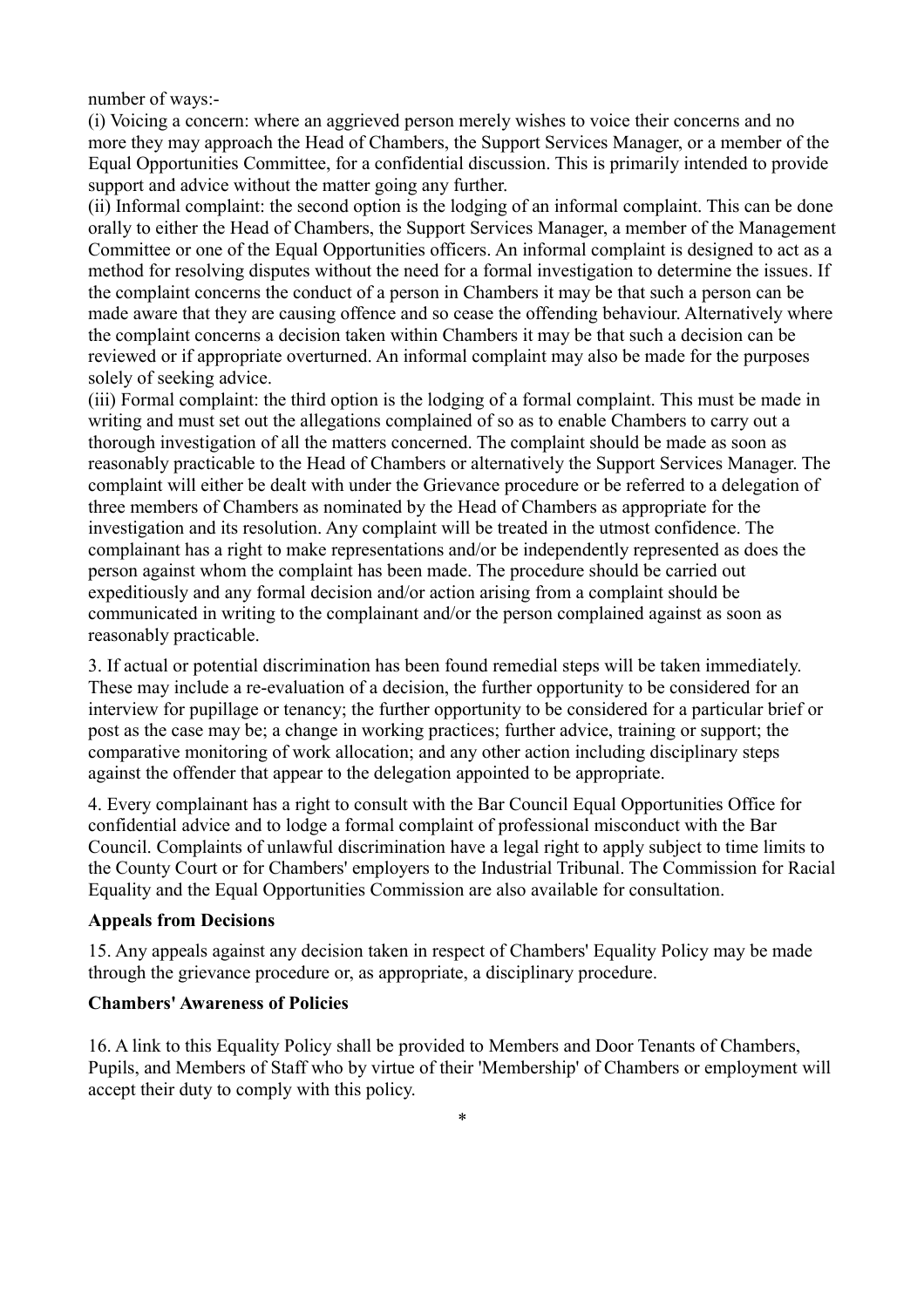number of ways:-

(i) Voicing a concern: where an aggrieved person merely wishes to voice their concerns and no more they may approach the Head of Chambers, the Support Services Manager, or a member of the Equal Opportunities Committee, for a confidential discussion. This is primarily intended to provide support and advice without the matter going any further.

(ii) Informal complaint: the second option is the lodging of an informal complaint. This can be done orally to either the Head of Chambers, the Support Services Manager, a member of the Management Committee or one of the Equal Opportunities officers. An informal complaint is designed to act as a method for resolving disputes without the need for a formal investigation to determine the issues. If the complaint concerns the conduct of a person in Chambers it may be that such a person can be made aware that they are causing offence and so cease the offending behaviour. Alternatively where the complaint concerns a decision taken within Chambers it may be that such a decision can be reviewed or if appropriate overturned. An informal complaint may also be made for the purposes solely of seeking advice.

(iii) Formal complaint: the third option is the lodging of a formal complaint. This must be made in writing and must set out the allegations complained of so as to enable Chambers to carry out a thorough investigation of all the matters concerned. The complaint should be made as soon as reasonably practicable to the Head of Chambers or alternatively the Support Services Manager. The complaint will either be dealt with under the Grievance procedure or be referred to a delegation of three members of Chambers as nominated by the Head of Chambers as appropriate for the investigation and its resolution. Any complaint will be treated in the utmost confidence. The complainant has a right to make representations and/or be independently represented as does the person against whom the complaint has been made. The procedure should be carried out expeditiously and any formal decision and/or action arising from a complaint should be communicated in writing to the complainant and/or the person complained against as soon as reasonably practicable.

3. If actual or potential discrimination has been found remedial steps will be taken immediately. These may include a re-evaluation of a decision, the further opportunity to be considered for an interview for pupillage or tenancy; the further opportunity to be considered for a particular brief or post as the case may be; a change in working practices; further advice, training or support; the comparative monitoring of work allocation; and any other action including disciplinary steps against the offender that appear to the delegation appointed to be appropriate.

4. Every complainant has a right to consult with the Bar Council Equal Opportunities Office for confidential advice and to lodge a formal complaint of professional misconduct with the Bar Council. Complaints of unlawful discrimination have a legal right to apply subject to time limits to the County Court or for Chambers' employers to the Industrial Tribunal. The Commission for Racial Equality and the Equal Opportunities Commission are also available for consultation.

#### **Appeals from Decisions**

15. Any appeals against any decision taken in respect of Chambers' Equality Policy may be made through the grievance procedure or, as appropriate, a disciplinary procedure.

#### **Chambers' Awareness of Policies**

16. A link to this Equality Policy shall be provided to Members and Door Tenants of Chambers, Pupils, and Members of Staff who by virtue of their 'Membership' of Chambers or employment will accept their duty to comply with this policy.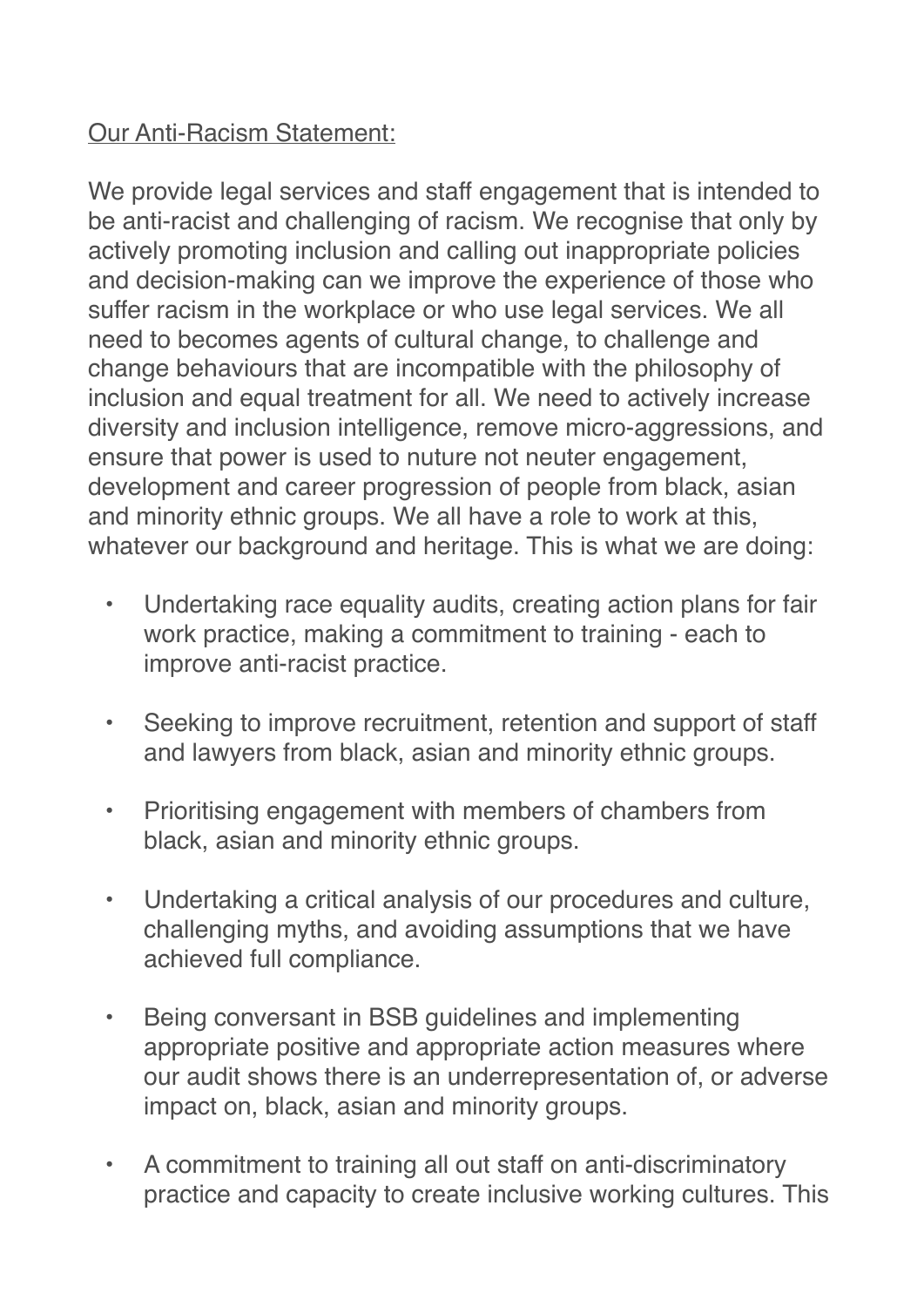# Our Anti-Racism Statement:

We provide legal services and staff engagement that is intended to be anti-racist and challenging of racism. We recognise that only by actively promoting inclusion and calling out inappropriate policies and decision-making can we improve the experience of those who suffer racism in the workplace or who use legal services. We all need to becomes agents of cultural change, to challenge and change behaviours that are incompatible with the philosophy of inclusion and equal treatment for all. We need to actively increase diversity and inclusion intelligence, remove micro-aggressions, and ensure that power is used to nuture not neuter engagement, development and career progression of people from black, asian and minority ethnic groups. We all have a role to work at this, whatever our background and heritage. This is what we are doing:

- Undertaking race equality audits, creating action plans for fair work practice, making a commitment to training - each to improve anti-racist practice.
- Seeking to improve recruitment, retention and support of staff and lawyers from black, asian and minority ethnic groups.
- Prioritising engagement with members of chambers from black, asian and minority ethnic groups.
- Undertaking a critical analysis of our procedures and culture, challenging myths, and avoiding assumptions that we have achieved full compliance.
- Being conversant in BSB guidelines and implementing appropriate positive and appropriate action measures where our audit shows there is an underrepresentation of, or adverse impact on, black, asian and minority groups.
- A commitment to training all out staff on anti-discriminatory practice and capacity to create inclusive working cultures. This